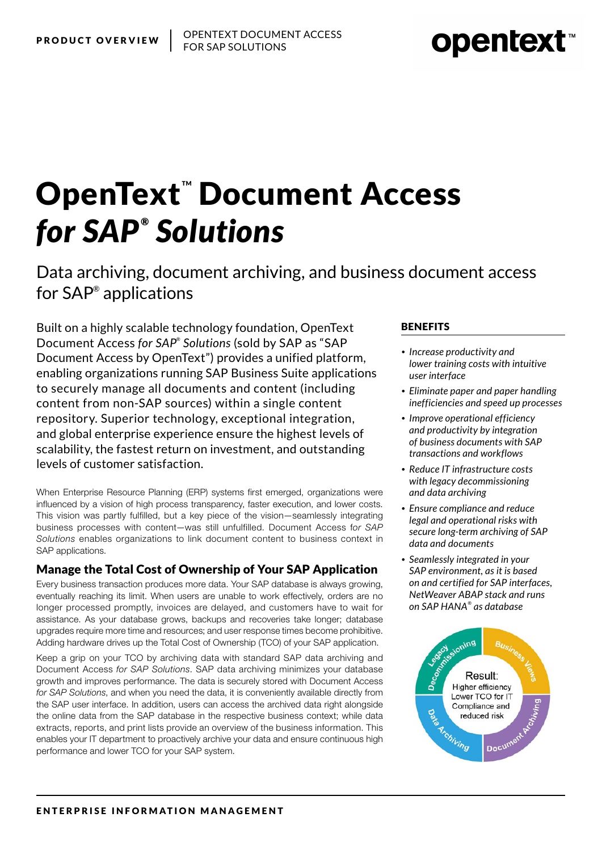# **OpenText" Document Access** *for SAP ® Solutions*

Data archiving, document archiving, and business document access for SAP® applications

Built on a highly scalable technology foundation, OpenText Document Access *for SAP® Solutions* (sold by SAP as "SAP Document Access by OpenText") provides a unified platform, enabling organizations running SAP Business Suite applications to securely manage all documents and content (including content from non-SAP sources) within a single content repository. Superior technology, exceptional integration, and global enterprise experience ensure the highest levels of scalability, the fastest return on investment, and outstanding levels of customer satisfaction.

When Enterprise Resource Planning (ERP) systems first emerged, organizations were influenced by a vision of high process transparency, faster execution, and lower costs. This vision was partly fulfilled, but a key piece of the vision—seamlessly integrating business processes with content—was still unfulfilled. Document Access f*or SAP Solutions* enables organizations to link document content to business context in SAP applications.

### Manage the Total Cost of Ownership of Your SAP Application

Every business transaction produces more data. Your SAP database is always growing, eventually reaching its limit. When users are unable to work effectively, orders are no longer processed promptly, invoices are delayed, and customers have to wait for assistance. As your database grows, backups and recoveries take longer; database upgrades require more time and resources; and user response times become prohibitive. Adding hardware drives up the Total Cost of Ownership (TCO) of your SAP application.

Keep a grip on your TCO by archiving data with standard SAP data archiving and Document Access *for SAP Solutions*. SAP data archiving minimizes your database growth and improves performance. The data is securely stored with Document Access *for SAP Solutions*, and when you need the data, it is conveniently available directly from the SAP user interface. In addition, users can access the archived data right alongside the online data from the SAP database in the respective business context; while data extracts, reports, and print lists provide an overview of the business information. This enables your IT department to proactively archive your data and ensure continuous high performance and lower TCO for your SAP system.

#### **BENEFITS**

- *• Increase productivity and lower training costs with intuitive user interface*
- *• Eliminate paper and paper handling inefficiencies and speed up processes*
- *• Improve operational efficiency and productivity by integration of business documents with SAP transactions and workflows*
- *• Reduce IT infrastructure costs with legacy decommissioning and data archiving*
- *• Ensure compliance and reduce legal and operational risks with secure long-term archiving of SAP data and documents*
- *• Seamlessly integrated in your SAP environment, as it is based on and certified for SAP interfaces, NetWeaver ABAP stack and runs on SAP HANA® as database*



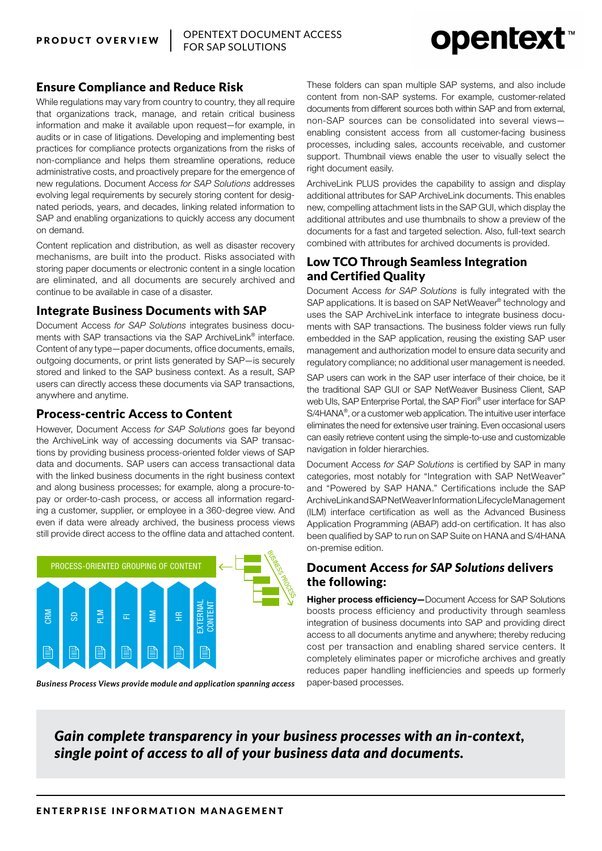## **opentext**™

#### Ensure Compliance and Reduce Risk

While regulations may vary from country to country, they all require that organizations track, manage, and retain critical business information and make it available upon request—for example, in audits or in case of litigations. Developing and implementing best practices for compliance protects organizations from the risks of non-compliance and helps them streamline operations, reduce administrative costs, and proactively prepare for the emergence of new regulations. Document Access *for SAP Solutions* addresses evolving legal requirements by securely storing content for designated periods, years, and decades, linking related information to SAP and enabling organizations to quickly access any document on demand.

Content replication and distribution, as well as disaster recovery mechanisms, are built into the product. Risks associated with storing paper documents or electronic content in a single location are eliminated, and all documents are securely archived and continue to be available in case of a disaster.

#### Integrate Business Documents with SAP

Document Access *for SAP Solutions* integrates business documents with SAP transactions via the SAP ArchiveLink® interface. Content of any type—paper documents, office documents, emails, outgoing documents, or print lists generated by SAP—is securely stored and linked to the SAP business context. As a result, SAP users can directly access these documents via SAP transactions, anywhere and anytime.

#### Process-centric Access to Content

However, Document Access *for SAP Solutions* goes far beyond the ArchiveLink way of accessing documents via SAP transactions by providing business process-oriented folder views of SAP data and documents. SAP users can access transactional data with the linked business documents in the right business context and along business processes; for example, along a procure-topay or order-to-cash process, or access all information regarding a customer, supplier, or employee in a 360-degree view. And even if data were already archived, the business process views still provide direct access to the offline data and attached content.



*Business Process Views provide module and application spanning access*

These folders can span multiple SAP systems, and also include content from non-SAP systems. For example, customer-related documents from different sources both within SAP and from external, non-SAP sources can be consolidated into several views enabling consistent access from all customer-facing business processes, including sales, accounts receivable, and customer support. Thumbnail views enable the user to visually select the right document easily.

ArchiveLink PLUS provides the capability to assign and display additional attributes for SAP ArchiveLink documents. This enables new, compelling attachment lists in the SAP GUI, which display the additional attributes and use thumbnails to show a preview of the documents for a fast and targeted selection. Also, full-text search combined with attributes for archived documents is provided.

#### Low TCO Through Seamless Integration and Certified Quality

Document Access *for SAP Solutions* is fully integrated with the SAP applications. It is based on SAP NetWeaver® technology and uses the SAP ArchiveLink interface to integrate business documents with SAP transactions. The business folder views run fully embedded in the SAP application, reusing the existing SAP user management and authorization model to ensure data security and regulatory compliance; no additional user management is needed.

SAP users can work in the SAP user interface of their choice, be it the traditional SAP GUI or SAP NetWeaver Business Client, SAP web Uls, SAP Enterprise Portal, the SAP Fiori® user interface for SAP S/4HANA®, or a customer web application. The intuitive user interface eliminates the need for extensive user training. Even occasional users can easily retrieve content using the simple-to-use and customizable navigation in folder hierarchies.

Document Access *for SAP Solutions* is certified by SAP in many categories, most notably for "Integration with SAP NetWeaver" and "Powered by SAP HANA." Certifications include the SAP ArchiveLink and SAP NetWeaver Information Lifecycle Management (ILM) interface certification as well as the Advanced Business Application Programming (ABAP) add-on certification. It has also been qualified by SAP to run on SAP Suite on HANA and S/4HANA on-premise edition.

#### Document Access *for SAP Solutions* delivers the following:

Higher process efficiency-Document Access for SAP Solutions boosts process efficiency and productivity through seamless integration of business documents into SAP and providing direct access to all documents anytime and anywhere; thereby reducing cost per transaction and enabling shared service centers. It completely eliminates paper or microfiche archives and greatly reduces paper handling inefficiencies and speeds up formerly paper-based processes.

### *Gain complete transparency in your business processes with an in-context, single point of access to all of your business data and documents.*